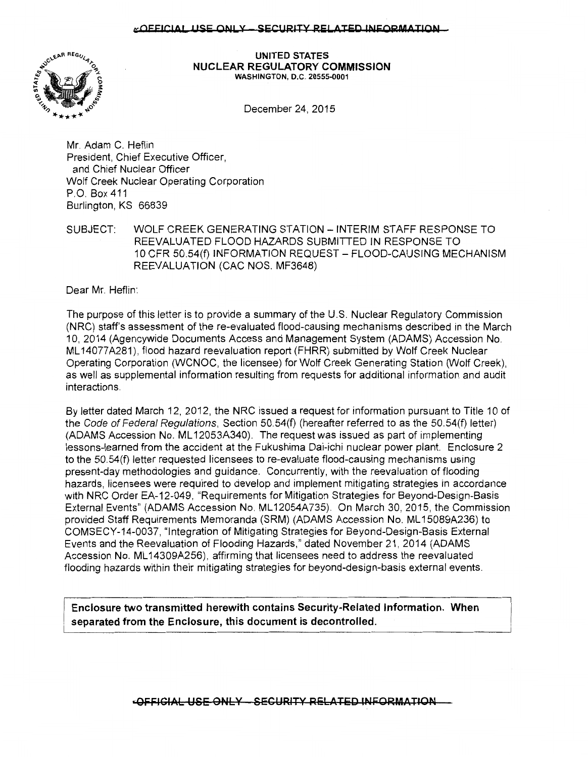## «OFFICIAL USE ONLY - SECURITY RELATED INFORMATION



#### **UNITED STATES NUCLEAR REGULATORY COMMISSION**  WASHINGTON, D.C. 20555-0001

December 24, 2015

Mr. Adam C. Heflin President, Chief Executive Officer, and Chief Nuclear Officer Wolf Creek Nuclear Operating Corporation P.O. Box 411 Burlington, KS 66839

SUBJECT: WOLF CREEK GENERATING STATION- INTERIM STAFF RESPONSE TO REEVALUATED FLOOD HAZARDS SUBMITTED IN RESPONSE TO 10 CFR 50.54(f) INFORMATION REQUEST - FLOOD-CAUSING MECHANISM REEVALUATION (CAC NOS. MF3648)

Dear Mr. Heflin:

The purpose of this letter is to provide a summary of the U.S. Nuclear Regulatory Commission (NRC) staff's assessment of the re-evaluated flood-causing mechanisms described in the March 10, 2014 (Agencywide Documents Access and Management System (ADAMS) Accession No. ML 14077 A281 ), flood hazard reevaluation report (FHRR) submitted by Wolf Creek Nuclear Operating Corporation (WCNOC, the licensee) for Wolf Creek Generating Station (Wolf Creek), as well as supplemental information resulting from requests for additional information and audit interactions.

By letter dated March 12, 2012, the NRC issued a request for information pursuant to Title 10 of the Code of Federal Regulations, Section 50.54(f) (hereafter referred to as the 50.54(f) letter) (ADAMS Accession No. ML 12053A340). The request was issued as part of implementing lessons-learned from the accident at the Fukushima Dai-ichi nuclear power plant. Enclosure 2 to the 50.54(f) letter requested licensees to re-evaluate flood-causing mechanisms using present-day methodologies and guidance. Concurrently, with the reevaluation of flooding hazards, licensees were required to develop and implement mitigating strategies in accordance with NRC Order EA-12-049, "Requirements for Mitigation Strategies for Beyond-Design-Basis External Events" (ADAMS Accession No. ML 12054A735). On March 30, 2015, the Commission provided Staff Requirements Memoranda (SRM) (ADAMS Accession No. ML 15089A236) to COMSECY-14-0037, "Integration of Mitigating Strategies for Beyond-Design-Basis External Events and the Reevaluation of Flooding Hazards," dated November 21, 2014 (ADAMS Accession No. ML 14309A256), affirming that licensees need to address the reevaluated flooding hazards within their mitigating strategies for beyond-design-basis external events.

**Enclosure two transmitted herewith contains Security-Related Information. When separated from the Enclosure, this document is decontrolled.** 

**•OFFICIAL USE ONLY - SECURITY RELATED INFORMATION**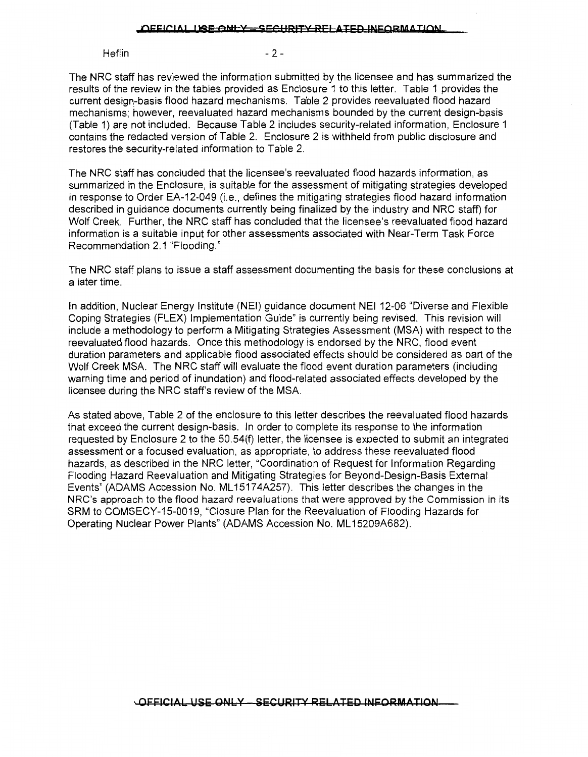#### OFFICIAL LI<del>SE ONLY \_SECHRITY RELATED INFORMATION</del>

 $Heflin$  - 2 -

The NRC staff has reviewed the information submitted by the licensee and has summarized the results of the review in the tables provided as Enclosure 1 to this letter. Table 1 provides the current design-basis flood hazard mechanisms. Table 2 provides reevaluated flood hazard mechanisms; however, reevaluated hazard mechanisms bounded by the current design-basis (Table 1) are not included. Because Table 2 includes security-related information, Enclosure 1 contains the redacted version of Table 2. Enclosure 2 is withheld from public disclosure and restores the security-related information to Table 2.

The NRC staff has concluded that the licensee's reevaluated flood hazards information, as summarized in the Enclosure, is suitable for the assessment of mitigating strategies developed in response to Order EA-12-049 (i.e., defines the mitigating strategies flood hazard information described in guidance documents currently being finalized by the industry and NRC staff) for Wolf Creek. Further, the NRC staff has concluded that the licensee's reevaluated flood hazard information is a suitable input for other assessments associated with Near-Term Task Force Recommendation 2.1 "Flooding."

The NRC staff plans to issue a staff assessment documenting the basis for these conclusions at a later time.

In addition, Nuclear Energy Institute (NEI) guidance document NEI 12-06 "Diverse and Flexible Coping Strategies (FLEX) Implementation Guide" is currently being revised. This revision will include a methodology to perform a Mitigating Strategies Assessment (MSA) with respect to the reevaluated flood hazards. Once this methodology is endorsed by the NRC, flood event duration parameters and applicable flood associated effects should be considered as part of the Wolf Creek MSA. The NRC staff will evaluate the flood event duration parameters (including warning time and period of inundation) and flood-related associated effects developed by the licensee during the NRC staff's review of the MSA.

As stated above, Table 2 of the enclosure to this letter describes the reevaluated flood hazards that exceed the current design-basis. In order to complete its response to the information requested by Enclosure 2 to the 50.54(f) letter, the licensee is expected to submit an integrated assessment or a focused evaluation, as appropriate, to address these reevaluated flood hazards, as described in the NRC letter, "Coordination of Request for Information Regarding Flooding Hazard Reevaluation and Mitigating Strategies for Beyond-Design-Basis External Events" (ADAMS Accession No. ML 1517 4A257). This letter describes the changes in the NRC's approach to the flood hazard reevaluations that were approved by the Commission in its SRM to COMSECY-15-0019, "Closure Plan for the Reevaluation of Flooding Hazards for Operating Nuclear Power Plants" (ADAMS Accession No. ML 15209A682) .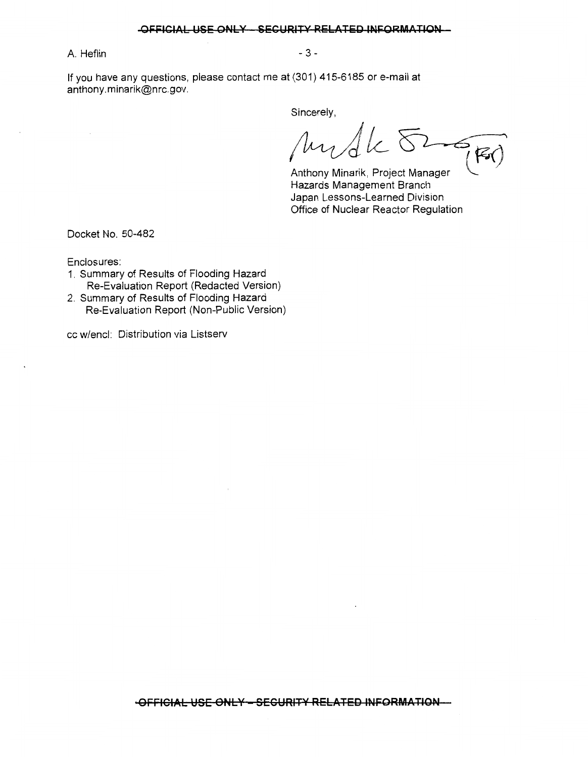#### **OFFICIAL USE ONLY SECURITY RELATED INFORMATION**

A. Heflin - 3 -

If you have any questions, please contact me at (301) 415-6185 or e-mail at anthony.minarik@nrc.gov.

Sincerely,

Mudk  $\delta$  -

Anthony Minarik, Project Manager ~ Hazards Management Branch Japan Lessons-Learned Division Office of Nuclear Reactor Regulation

Docket No. 50-482

Enclosures:

- 1. Summary of Results of Flooding Hazard Re-Evaluation Report (Redacted Version)
- 2. Summary of Results of Flooding Hazard Re-Evaluation Report (Non-Public Version)

cc w/encl: Distribution via Listserv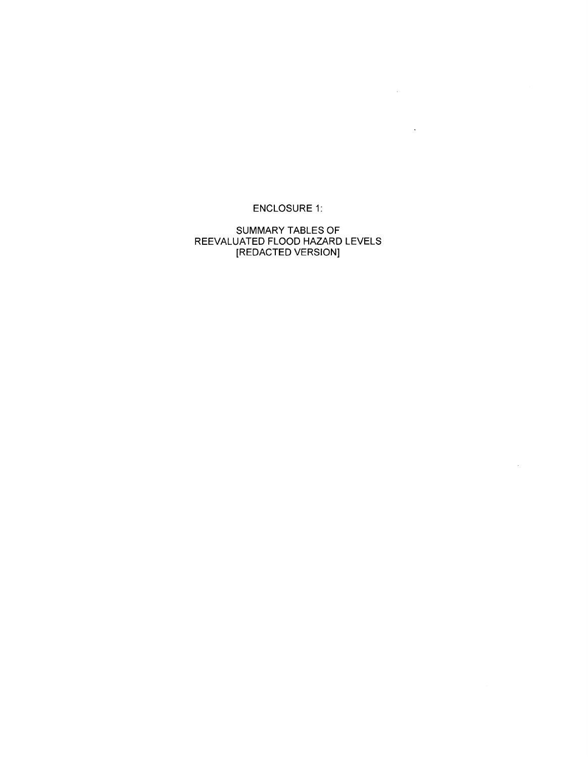ENCLOSURE 1:

 $\label{eq:2.1} \frac{1}{\sqrt{2\pi}}\int_{0}^{\infty} \frac{d\mu}{\sqrt{2\pi}}\left(\frac{d\mu}{\mu}\right)^2\frac{d\mu}{\mu}\left(\frac{d\mu}{\mu}\right)^2\frac{d\mu}{\mu}\left(\frac{d\mu}{\mu}\right)^2.$ 

 $\sim 10^{11}$  km  $^{-1}$ 

 $\sim 10$ 

SUMMARY TABLES OF REEVALUATED FLOOD HAZARD LEVELS [REDACTED VERSION]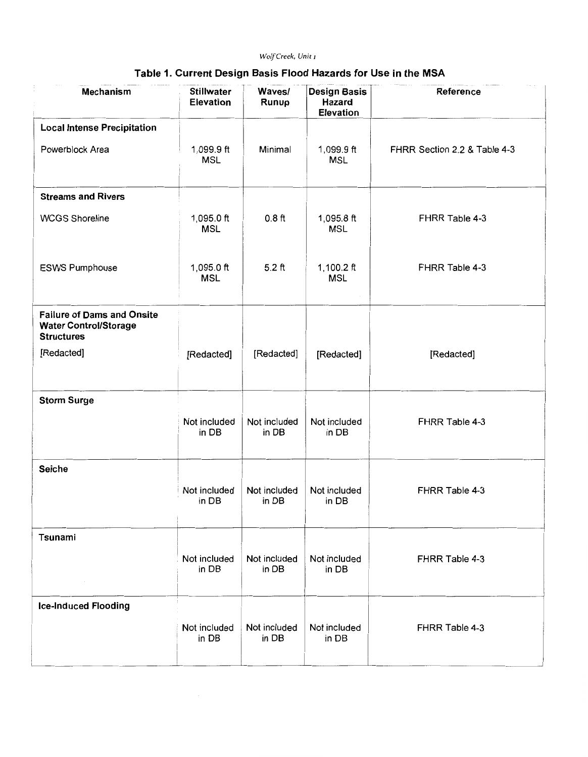# *Wolf Creek, Unit* <sup>1</sup>

## Table 1. Current Design Basis Flood Hazards for Use in the MSA

| <b>Mechanism</b>                                                                       | <b>Stillwater</b><br><b>Elevation</b> | Waves/<br>Runup       | <b>Design Basis</b><br><b>Hazard</b><br><b>Elevation</b> | Reference                    |
|----------------------------------------------------------------------------------------|---------------------------------------|-----------------------|----------------------------------------------------------|------------------------------|
| <b>Local Intense Precipitation</b>                                                     |                                       |                       |                                                          |                              |
| Powerblock Area                                                                        | 1,099.9 ft<br><b>MSL</b>              | Minimal               | $1,099.9$ ft<br><b>MSL</b>                               | FHRR Section 2.2 & Table 4-3 |
| <b>Streams and Rivers</b>                                                              |                                       |                       |                                                          |                              |
| <b>WCGS Shoreline</b>                                                                  | 1,095.0 $ft$<br><b>MSL</b>            | 0.8 <sub>ft</sub>     | $1,095.8$ ft<br><b>MSL</b>                               | FHRR Table 4-3               |
| <b>ESWS Pumphouse</b>                                                                  | 1,095.0 $ft$<br><b>MSL</b>            | $5.2$ ft              | 1,100.2 $ft$<br><b>MSL</b>                               | FHRR Table 4-3               |
| <b>Failure of Dams and Onsite</b><br><b>Water Control/Storage</b><br><b>Structures</b> |                                       |                       |                                                          |                              |
| [Redacted]                                                                             | [Redacted]                            | [Redacted]            | [Redacted]                                               | [Redacted]                   |
| <b>Storm Surge</b>                                                                     |                                       |                       |                                                          |                              |
|                                                                                        | Not included<br>in DB                 | Not included<br>in DB | Not included<br>in DB                                    | FHRR Table 4-3               |
| <b>Seiche</b>                                                                          |                                       |                       |                                                          |                              |
|                                                                                        | Not included<br>in DB                 | Not included<br>in DB | Not included<br>in DB                                    | FHRR Table 4-3               |
| Tsunami                                                                                |                                       |                       |                                                          |                              |
|                                                                                        | Not included<br>in DB                 | Not included<br>in DB | Not included<br>in DB                                    | FHRR Table 4-3               |
| <b>Ice-Induced Flooding</b>                                                            |                                       |                       |                                                          |                              |
|                                                                                        | Not included<br>in DB                 | Not included<br>in DB | Not included<br>in DB                                    | FHRR Table 4-3               |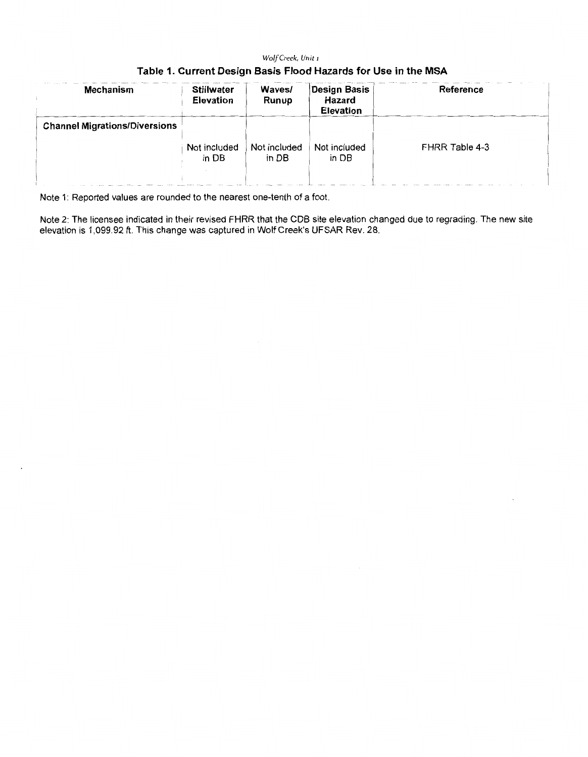## *Wolf Creek, Unit* <sup>1</sup>

|  | Table 1. Current Design Basis Flood Hazards for Use in the MSA |
|--|----------------------------------------------------------------|
|--|----------------------------------------------------------------|

| <b>Mechanism</b>                     | <b>Stillwater</b><br><b>Elevation</b> | Waves/<br>Runup       | Design Basis<br>Hazard<br><b>Elevation</b> | Reference             |
|--------------------------------------|---------------------------------------|-----------------------|--------------------------------------------|-----------------------|
| <b>Channel Migrations/Diversions</b> |                                       |                       |                                            |                       |
|                                      | Not included<br>in DB                 | Not included<br>in DB | Not included<br>in DB                      | <b>FHRR Table 4-3</b> |
|                                      |                                       |                       |                                            |                       |

Note 1: Reported values are rounded to the nearest one-tenth of a foot.

Note 2: The licensee indicated in their revised FHRR that the CDS site elevation changed due to regrading. The new site elevation is 1,099.92 ft. This change was captured in Wolf Creek's UFSAR Rev. 28.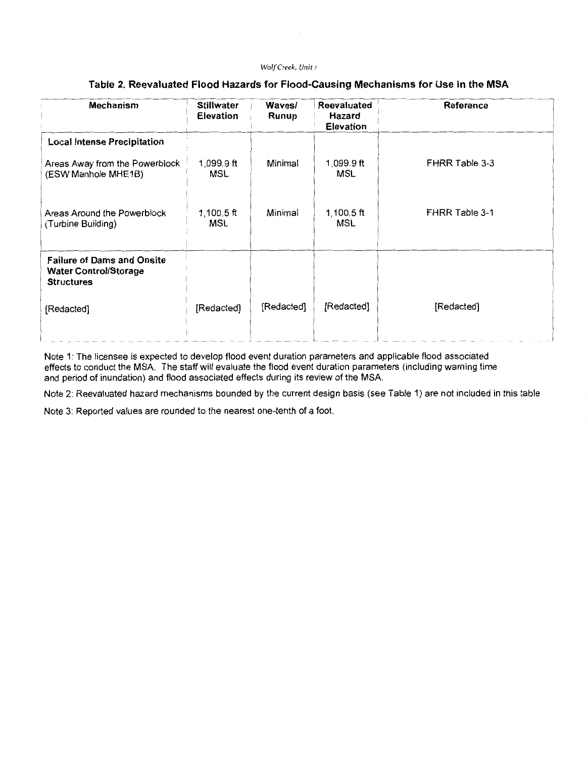#### *Wolf Creek, Unit* <sup>1</sup>

## **Table 2. Reevaluated Flood Hazards for Flood-Causing Mechanisms for Use in the MSA**

| <b>Mechanism</b>                                                                       | <b>Stillwater</b><br><b>Elevation</b> | Waves/<br>Runup | <b>Reevaluated</b><br><b>Hazard</b><br><b>Elevation</b> | Reference      |
|----------------------------------------------------------------------------------------|---------------------------------------|-----------------|---------------------------------------------------------|----------------|
| <b>Local Intense Precipitation</b>                                                     |                                       |                 |                                                         |                |
| Areas Away from the Powerblock<br>(ESW Manhole MHE1B)                                  | 1,099.9 ft<br>MSL                     | Minimal         | 1,099.9 ft<br>MSL                                       | FHRR Table 3-3 |
| Areas Around the Powerblock<br>(Turbine Building)                                      | $1,100.5$ ft<br>MSL                   | Minimal         | $1,100.5$ ft<br>MSL                                     | FHRR Table 3-1 |
| <b>Failure of Dams and Onsite</b><br><b>Water Control/Storage</b><br><b>Structures</b> |                                       |                 |                                                         |                |
| [Redacted]                                                                             | [Redacted]                            | [Redacted]      | [Redacted]                                              | [Redacted]     |

Note 1: The licensee is expected to develop flood event duration parameters and applicable flood associated effects to conduct the MSA. The staff will evaluate the flood event duration parameters (including warning time and period of inundation) and flood associated effects during its review of the MSA.

Note 2: Reevaluated hazard mechanisms bounded by the current design basis (see Table 1) are not included in this table

Note 3: Reported values are rounded to the nearest one-tenth of a foot.